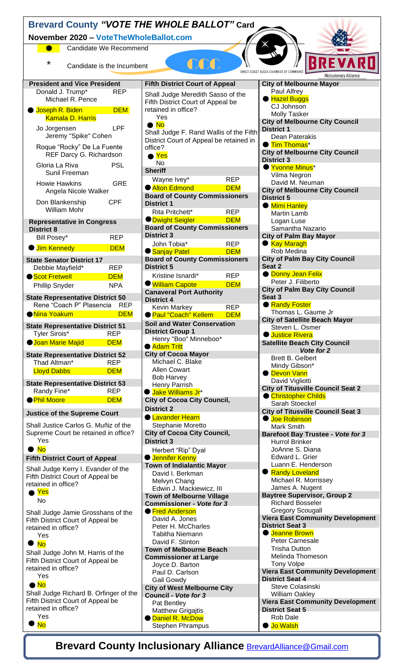| Brevard County "VOTE THE WHOLE BALLOT" Card                                                                                         |                                                                                    |                                                                    |  |
|-------------------------------------------------------------------------------------------------------------------------------------|------------------------------------------------------------------------------------|--------------------------------------------------------------------|--|
| November 2020 - VoteTheWholeBallot.com                                                                                              |                                                                                    |                                                                    |  |
| Candidate We Recommend<br>$\bullet$                                                                                                 |                                                                                    |                                                                    |  |
| REVARD<br>COO CONTRACTO<br>*<br>Candidate is the Incumbent<br>SPACE COAST BLACK CHAMBER OF COMMERCE<br><b>INclusionary Alliance</b> |                                                                                    |                                                                    |  |
| <b>President and Vice President</b><br><b>REP</b>                                                                                   | <b>Fifth District Court of Appeal</b>                                              | <b>City of Melbourne Mayor</b><br>Paul Alfrey                      |  |
| Donald J. Trump*<br>Michael R. Pence                                                                                                | Shall Judge Meredith Sasso of the<br>Fifth District Court of Appeal be             | ● Hazel Buggs                                                      |  |
| <b>Joseph R. Biden</b><br><b>DEM</b>                                                                                                | retained in office?                                                                | CJ Johnson<br><b>Molly Tasker</b>                                  |  |
| <b>Kamala D. Harris</b>                                                                                                             | Yes<br>$\bullet$ No                                                                | <b>City of Melbourne City Council</b>                              |  |
| Jo Jorgensen<br><b>LPF</b><br>Jeremy "Spike" Cohen                                                                                  | Shall Judge F. Rand Wallis of the Fifth<br>District Court of Appeal be retained in | <b>District 1</b><br>Dean Paterakis                                |  |
| Roque "Rocky" De La Fuente                                                                                                          | office?                                                                            | <b>Tim Thomas*</b><br><b>City of Melbourne City Council</b>        |  |
| REF Darcy G. Richardson<br><b>PSL</b><br>Gloria La Riva                                                                             | $\bullet$ Yes<br><b>No</b>                                                         | <b>District 3</b>                                                  |  |
| Sunil Freeman                                                                                                                       | <b>Sheriff</b>                                                                     | Yvonne Minus <sup>*</sup><br>Vilma Negron                          |  |
| <b>GRE</b><br><b>Howie Hawkins</b>                                                                                                  | Wayne Ivey*<br><b>REP</b><br><b>Alton Edmond</b><br><b>DEM</b>                     | David M. Neuman                                                    |  |
| Angela Nicole Walker                                                                                                                | <b>Board of County Commissioners</b>                                               | <b>City of Melbourne City Council</b><br><b>District 5</b>         |  |
| Don Blankenship<br><b>CPF</b><br><b>William Mohr</b>                                                                                | <b>District 1</b>                                                                  | <b>Mimi Hanley</b>                                                 |  |
|                                                                                                                                     | Rita Pritchett*<br><b>REP</b><br><b>DEM</b><br><b>ODwight Seigler</b>              | <b>Martin Lamb</b>                                                 |  |
| <b>Representative in Congress</b><br><b>District 8</b>                                                                              | <b>Board of County Commissioners</b>                                               | Logan Luse<br>Samantha Nazario                                     |  |
| Bill Posey*<br><b>REP</b>                                                                                                           | <b>District 3</b>                                                                  | <b>City of Palm Bay Mayor</b>                                      |  |
| <b>Jim Kennedy</b><br><b>DEM</b>                                                                                                    | John Tobia*<br><b>REP</b><br><b>DEM</b><br>● Sanjay Patel                          | <b>Kay Maragh</b><br>Rob Medina                                    |  |
| <b>State Senator District 17</b>                                                                                                    | <b>Board of County Commissioners</b>                                               | <b>City of Palm Bay City Council</b>                               |  |
| <b>REP</b><br>Debbie Mayfield*                                                                                                      | <b>District 5</b>                                                                  | Seat 2                                                             |  |
| Scot Fretwell<br><b>DEM</b>                                                                                                         | Kristine Isnardi*<br><b>REP</b>                                                    | <b>O</b> Donny Jean Felix<br>Peter J. Filiberto                    |  |
| <b>NPA</b><br>Phillip Snyder                                                                                                        | <b>William Capote</b><br><b>DEM</b><br><b>Canaveral Port Authority</b>             | <b>City of Palm Bay City Council</b>                               |  |
| <b>State Representative District 50</b><br>Rene "Coach P" Plasencia<br>REP                                                          | <b>District 4</b>                                                                  | Seat 3<br><b>Randy Foster</b>                                      |  |
| <b>DEM</b><br><mark>Nina Yoakum</mark>                                                                                              | <b>REP</b><br><b>Kevin Markey</b><br>● Paul "Coach" Kellem<br><b>DEM</b>           | Thomas L. Gaume Jr                                                 |  |
| <b>State Representative District 51</b>                                                                                             | <b>Soil and Water Conservation</b>                                                 | <b>City of Satellite Beach Mayor</b>                               |  |
| Tyler Sirois*<br><b>REP</b>                                                                                                         | <b>District Group 1</b>                                                            | Steven L. Osmer<br><b>Ustice Rivera</b>                            |  |
| <b>Joan Marie Majid</b><br><b>DEM</b>                                                                                               | Henry "Boo" Minneboo*<br>● Adam Tritt                                              | <b>Satellite Beach City Council</b>                                |  |
| <b>State Representative District 52</b>                                                                                             | <b>City of Cocoa Mayor</b>                                                         | Vote for 2<br><b>Brett B. Gelbert</b>                              |  |
| Thad Altman*<br><b>REP</b>                                                                                                          | Michael C. Blake                                                                   | Mindy Gibson*                                                      |  |
| <b>Lloyd Dabbs</b><br><b>DEM</b>                                                                                                    | <b>Allen Cowart</b><br><b>Bob Harvey</b>                                           | <b>O</b> Devon Vann                                                |  |
| <b>State Representative District 53</b><br>Randy Fine*<br><b>REP</b>                                                                | Henry Parrish                                                                      | David Vigliotti<br><b>City of Titusville Council Seat 2</b>        |  |
| <b>• Phil Moore</b><br><b>DEM</b>                                                                                                   | ● Jake Williams Jr <sup>*</sup><br><b>City of Cocoa City Council,</b>              | Christopher Childs                                                 |  |
|                                                                                                                                     | <b>District 2</b>                                                                  | Sarah Stoeckel<br><b>City of Titusville Council Seat 3</b>         |  |
| <b>Justice of the Supreme Court</b>                                                                                                 | <b>C</b> Lavander Hearn                                                            | <b>Uoe Robinson</b>                                                |  |
| Shall Justice Carlos G. Muñiz of the<br>Supreme Court be retained in office?                                                        | Stephanie Moretto<br><b>City of Cocoa City Council,</b>                            | <b>Mark Smith</b><br><b>Barefoot Bay Trustee - Vote for 3</b>      |  |
| Yes                                                                                                                                 | <b>District 3</b>                                                                  | <b>Hurrol Brinker</b>                                              |  |
| $\bullet$ No                                                                                                                        | Herbert "Rip" Dyal                                                                 | JoAnne S. Diana                                                    |  |
| <b>Fifth District Court of Appeal</b>                                                                                               | <b>U</b> ennifer Kenny<br><b>Town of Indialantic Mayor</b>                         | Edward L. Grier<br>Luann E. Henderson                              |  |
| Shall Judge Kerry I. Evander of the<br>Fifth District Court of Appeal be                                                            | David I. Berkman                                                                   | Randy Loveland                                                     |  |
| retained in office?                                                                                                                 | Melvyn Chang<br>Edwin J. Mackiewicz, III                                           | Michael R. Morrissey<br>James A. Nugent                            |  |
| $\bullet$ Yes                                                                                                                       | <b>Town of Melbourne Village</b>                                                   | <b>Baytree Supervisor, Group 2</b>                                 |  |
| No                                                                                                                                  | <b>Commissioner - Vote for 3</b>                                                   | <b>Richard Bosseler</b>                                            |  |
| Shall Judge Jamie Grosshans of the<br>Fifth District Court of Appeal be                                                             | ● Fred Anderson<br>David A. Jones                                                  | <b>Gregory Scougall</b><br><b>Viera East Community Development</b> |  |
| retained in office?                                                                                                                 | Peter H. McCharles                                                                 | <b>District Seat 3</b>                                             |  |
| Yes                                                                                                                                 | <b>Tabitha Niemann</b><br>David F. Stinton                                         | <b>C</b> Jeanne Brown<br>Peter Carnesale                           |  |
| $\bullet$ No                                                                                                                        | <b>Town of Melbourne Beach</b>                                                     | <b>Trisha Dutton</b>                                               |  |
| Shall Judge John M. Harris of the<br>Fifth District Court of Appeal be                                                              | <b>Commissioner at Large</b>                                                       | Melinda Thomeson                                                   |  |
| retained in office?                                                                                                                 | Joyce D. Barton<br>Paul D. Carlson                                                 | <b>Tony Volpe</b><br><b>Viera East Community Development</b>       |  |
| Yes<br>$\bullet$ No                                                                                                                 | Gail Gowdy                                                                         | <b>District Seat 4</b>                                             |  |
| Shall Judge Richard B. Orfinger of the                                                                                              | <b>City of West Melbourne City</b><br>Council - Vote for 3                         | Steve Colasinski<br><b>William Oakley</b>                          |  |
| Fifth District Court of Appeal be                                                                                                   | Pat Bentley                                                                        | <b>Viera East Community Development</b>                            |  |
| retained in office?<br>Yes                                                                                                          | <b>Matthew Grigajtis</b>                                                           | <b>District Seat 5</b>                                             |  |
| <b>No</b>                                                                                                                           | <b>O</b> Daniel R. McDow<br><b>Stephen Phrampus</b>                                | Rob Dale<br>● Jo Walsh                                             |  |
|                                                                                                                                     |                                                                                    |                                                                    |  |

**Brevard County Inclusionary Alliance <b>[BrevardAlliance@Gmail.com](mailto:BrevardAlliance@Gmail.com)**